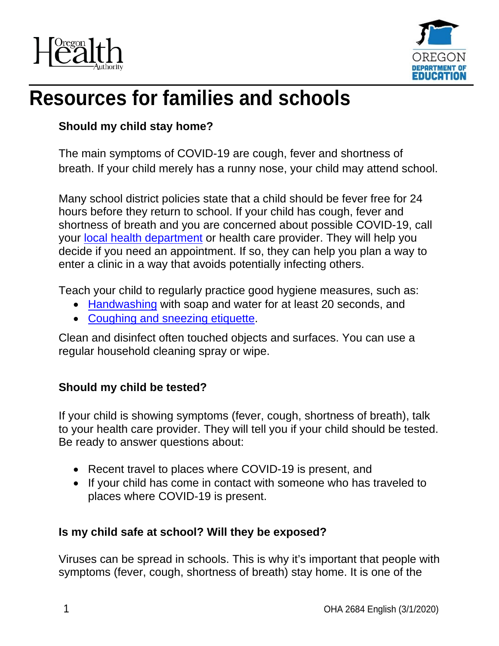



# **Resources for families and schools**

#### **Should my child stay home?**

The main symptoms of COVID-19 are cough, fever and shortness of breath. If your child merely has a runny nose, your child may attend school.

Many school district policies state that a child should be fever free for 24 hours before they return to school. If your child has cough, fever and shortness of breath and you are concerned about possible COVID-19, call your [local health department](https://www.oregon.gov/oha/ph/providerpartnerresources/localhealthdepartmentresources/pages/lhd.aspx) or health care provider. They will help you decide if you need an appointment. If so, they can help you plan a way to enter a clinic in a way that avoids potentially infecting others.

Teach your child to regularly practice good hygiene measures, such as:

- [Handwashing](https://www.cdc.gov/handwashing/index.html?utm_medium=email&utm_source=govdelivery) with soap and water for at least 20 seconds, and
- [Coughing and sneezing etiquette.](http://www.cdc.gov/healthywater/hygiene/etiquette/coughing_sneezing.html?utm_medium=email&utm_source=govdelivery)

Clean and disinfect often touched objects and surfaces. You can use a regular household cleaning spray or wipe.

## **Should my child be tested?**

If your child is showing symptoms (fever, cough, shortness of breath), talk to your health care provider. They will tell you if your child should be tested. Be ready to answer questions about:

- Recent travel to places where COVID-19 is present, and
- If your child has come in contact with someone who has traveled to places where COVID-19 is present.

#### **Is my child safe at school? Will they be exposed?**

Viruses can be spread in schools. This is why it's important that people with symptoms (fever, cough, shortness of breath) stay home. It is one of the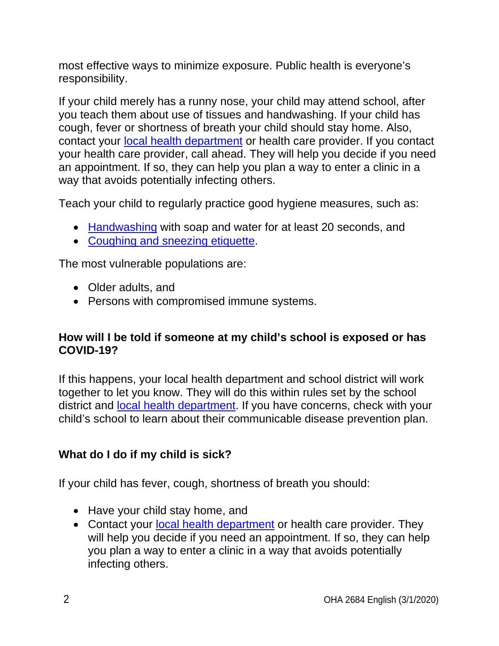most effective ways to minimize exposure. Public health is everyone's responsibility.

If your child merely has a runny nose, your child may attend school, after you teach them about use of tissues and handwashing. If your child has cough, fever or shortness of breath your child should stay home. Also, contact your [local health department](https://www.oregon.gov/oha/ph/providerpartnerresources/localhealthdepartmentresources/pages/lhd.aspx?utm_medium=email&utm_source=govdelivery) or health care provider. If you contact your health care provider, call ahead. They will help you decide if you need an appointment. If so, they can help you plan a way to enter a clinic in a way that avoids potentially infecting others.

Teach your child to regularly practice good hygiene measures, such as:

- [Handwashing](https://www.cdc.gov/handwashing/index.html?utm_medium=email&utm_source=govdelivery) with soap and water for at least 20 seconds, and
- [Coughing and sneezing etiquette.](http://www.cdc.gov/healthywater/hygiene/etiquette/coughing_sneezing.html?utm_medium=email&utm_source=govdelivery)

The most vulnerable populations are:

- Older adults, and
- Persons with compromised immune systems.

#### **How will I be told if someone at my child's school is exposed or has COVID-19?**

If this happens, your local health department and school district will work together to let you know. They will do this within rules set by the school district and [local health department.](https://www.oregon.gov/oha/ph/providerpartnerresources/localhealthdepartmentresources/pages/lhd.aspx?utm_medium=email&utm_source=govdelivery) If you have concerns, check with your child's school to learn about their communicable disease prevention plan.

## **What do I do if my child is sick?**

If your child has fever, cough, shortness of breath you should:

- Have your child stay home, and
- Contact your [local health department](https://www.oregon.gov/oha/ph/providerpartnerresources/localhealthdepartmentresources/pages/lhd.aspx?utm_medium=email&utm_source=govdelivery) or health care provider. They will help you decide if you need an appointment. If so, they can help you plan a way to enter a clinic in a way that avoids potentially infecting others.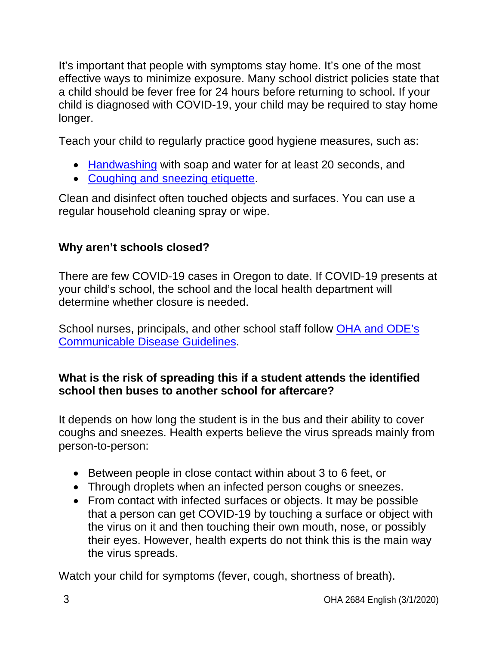It's important that people with symptoms stay home. It's one of the most effective ways to minimize exposure. Many school district policies state that a child should be fever free for 24 hours before returning to school. If your child is diagnosed with COVID-19, your child may be required to stay home longer.

Teach your child to regularly practice good hygiene measures, such as:

- [Handwashing](https://www.cdc.gov/handwashing/index.html?utm_medium=email&utm_source=govdelivery) with soap and water for at least 20 seconds, and
- [Coughing and sneezing etiquette.](http://www.cdc.gov/healthywater/hygiene/etiquette/coughing_sneezing.html?utm_medium=email&utm_source=govdelivery)

Clean and disinfect often touched objects and surfaces. You can use a regular household cleaning spray or wipe.

# **Why aren't schools closed?**

There are few COVID-19 cases in Oregon to date. If COVID-19 presents at your child's school, the school and the local health department will determine whether closure is needed.

School nurses, principals, and other school staff follow OHA and ODE's [Communicable Disease Guidelines.](https://www.oregon.gov/ode/students-and-family/healthsafety/Documents/commdisease.pdf?utm_medium=email&utm_source=govdelivery)

## **What is the risk of spreading this if a student attends the identified school then buses to another school for aftercare?**

It depends on how long the student is in the bus and their ability to cover coughs and sneezes. Health experts believe the virus spreads mainly from person-to-person:

- Between people in close contact within about 3 to 6 feet, or
- Through droplets when an infected person coughs or sneezes.
- From contact with infected surfaces or objects. It may be possible that a person can get COVID-19 by touching a surface or object with the virus on it and then touching their own mouth, nose, or possibly their eyes. However, health experts do not think this is the main way the virus spreads.

Watch your child for symptoms (fever, cough, shortness of breath).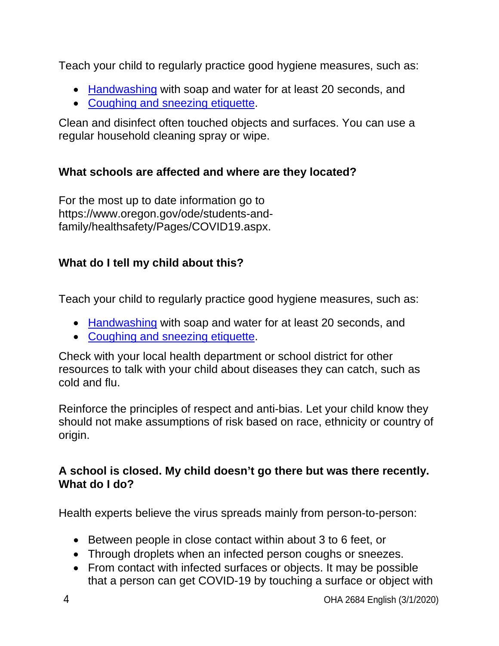Teach your child to regularly practice good hygiene measures, such as:

- [Handwashing](https://www.cdc.gov/handwashing/index.html?utm_medium=email&utm_source=govdelivery) with soap and water for at least 20 seconds, and
- [Coughing and sneezing etiquette.](http://www.cdc.gov/healthywater/hygiene/etiquette/coughing_sneezing.html?utm_medium=email&utm_source=govdelivery)

Clean and disinfect often touched objects and surfaces. You can use a regular household cleaning spray or wipe.

## **What schools are affected and where are they located?**

For the most up to date information go to https://www.oregon.gov/ode/students-andfamily/healthsafety/Pages/COVID19.aspx.

# **What do I tell my child about this?**

Teach your child to regularly practice good hygiene measures, such as:

- [Handwashing](https://www.cdc.gov/handwashing/index.html?utm_medium=email&utm_source=govdelivery) with soap and water for at least 20 seconds, and
- [Coughing and sneezing etiquette.](http://www.cdc.gov/healthywater/hygiene/etiquette/coughing_sneezing.html?utm_medium=email&utm_source=govdelivery)

Check with your local health department or school district for other resources to talk with your child about diseases they can catch, such as cold and flu.

Reinforce the principles of respect and anti-bias. Let your child know they should not make assumptions of risk based on race, ethnicity or country of origin.

#### **A school is closed. My child doesn't go there but was there recently. What do I do?**

Health experts believe the virus spreads mainly from person-to-person:

- Between people in close contact within about 3 to 6 feet, or
- Through droplets when an infected person coughs or sneezes.
- From contact with infected surfaces or objects. It may be possible that a person can get COVID-19 by touching a surface or object with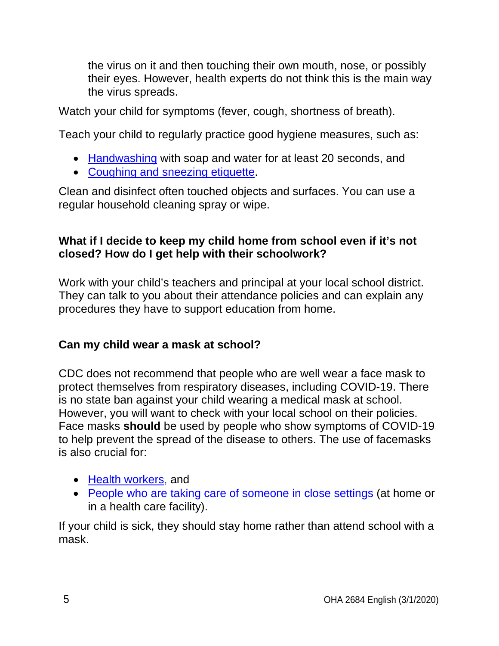the virus on it and then touching their own mouth, nose, or possibly their eyes. However, health experts do not think this is the main way the virus spreads.

Watch your child for symptoms (fever, cough, shortness of breath).

Teach your child to regularly practice good hygiene measures, such as:

- [Handwashing](https://www.cdc.gov/handwashing/index.html?utm_medium=email&utm_source=govdelivery) with soap and water for at least 20 seconds, and
- [Coughing and sneezing etiquette.](http://www.cdc.gov/healthywater/hygiene/etiquette/coughing_sneezing.html?utm_medium=email&utm_source=govdelivery)

Clean and disinfect often touched objects and surfaces. You can use a regular household cleaning spray or wipe.

#### **What if I decide to keep my child home from school even if it's not closed? How do I get help with their schoolwork?**

Work with your child's teachers and principal at your local school district. They can talk to you about their attendance policies and can explain any procedures they have to support education from home.

## **Can my child wear a mask at school?**

CDC does not recommend that people who are well wear a face mask to protect themselves from respiratory diseases, including COVID-19. There is no state ban against your child wearing a medical mask at school. However, you will want to check with your local school on their policies. Face masks **should** be used by people who show symptoms of COVID-19 to help prevent the spread of the disease to others. The use of facemasks is also crucial for:

- [Health workers,](https://www.cdc.gov/coronavirus/2019-nCoV/hcp/infection-control.html) and
- [People who are taking care of someone in close settings](https://www.cdc.gov/coronavirus/2019-ncov/hcp/guidance-home-care.html) (at home or in a health care facility).

If your child is sick, they should stay home rather than attend school with a mask.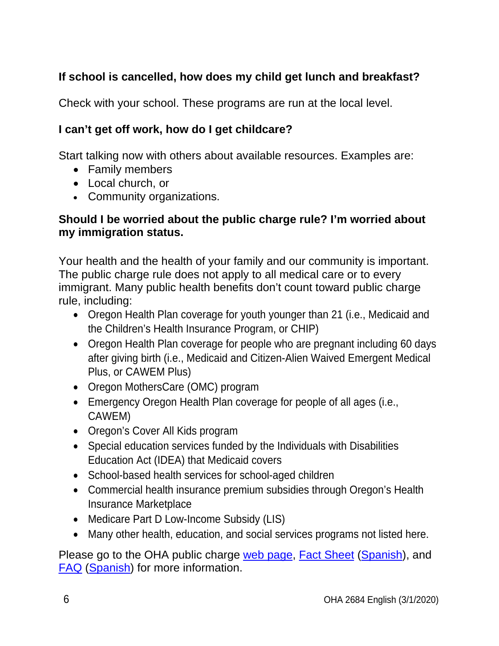# **If school is cancelled, how does my child get lunch and breakfast?**

Check with your school. These programs are run at the local level.

#### **I can't get off work, how do I get childcare?**

Start talking now with others about available resources. Examples are:

- Family members
- Local church, or
- Community organizations.

#### **Should I be worried about the public charge rule? I'm worried about my immigration status.**

Your health and the health of your family and our community is important. The public charge rule does not apply to all medical care or to every immigrant. Many public health benefits don't count toward public charge rule, including:

- Oregon Health Plan coverage for youth younger than 21 (i.e., Medicaid and the Children's Health Insurance Program, or CHIP)
- Oregon Health Plan coverage for people who are pregnant including 60 days after giving birth (i.e., Medicaid and Citizen-Alien Waived Emergent Medical Plus, or CAWEM Plus)
- Oregon MothersCare (OMC) program
- Emergency Oregon Health Plan coverage for people of all ages (i.e., CAWEM)
- Oregon's Cover All Kids program
- Special education services funded by the Individuals with Disabilities Education Act (IDEA) that Medicaid covers
- School-based health services for school-aged children
- Commercial health insurance premium subsidies through Oregon's Health Insurance Marketplace
- Medicare Part D Low-Income Subsidy (LIS)
- Many other health, education, and social services programs not listed here.

Please go to the OHA public charge [web page,](https://www.oregon.gov/OHA/ERD/Pages/public-charge.aspx) [Fact Sheet](https://sharedsystems.dhsoha.state.or.us/DHSForms/Served/le2664.pdf) [\(Spanish\)](https://sharedsystems.dhsoha.state.or.us/DHSForms/Served/ls2664.pdf), and [FAQ](https://sharedsystems.dhsoha.state.or.us/DHSForms/Served/le2662.pdf) [\(Spanish\)](https://sharedsystems.dhsoha.state.or.us/DHSForms/Served/ls2662.pdf) for more information.